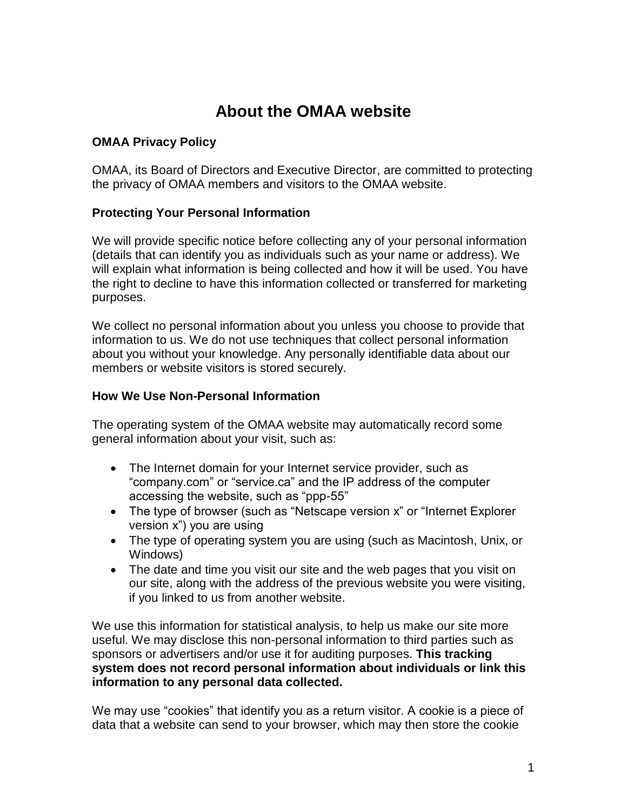# **About the OMAA website**

## **OMAA Privacy Policy**

OMAA, its Board of Directors and Executive Director, are committed to protecting the privacy of OMAA members and visitors to the OMAA website.

## **Protecting Your Personal Information**

We will provide specific notice before collecting any of your personal information (details that can identify you as individuals such as your name or address). We will explain what information is being collected and how it will be used. You have the right to decline to have this information collected or transferred for marketing purposes.

We collect no personal information about you unless you choose to provide that information to us. We do not use techniques that collect personal information about you without your knowledge. Any personally identifiable data about our members or website visitors is stored securely.

#### **How We Use Non-Personal Information**

The operating system of the OMAA website may automatically record some general information about your visit, such as:

- The Internet domain for your Internet service provider, such as "company.com" or "service.ca" and the IP address of the computer accessing the website, such as "ppp-55"
- The type of browser (such as "Netscape version x" or "Internet Explorer version x") you are using
- The type of operating system you are using (such as Macintosh, Unix, or Windows)
- The date and time you visit our site and the web pages that you visit on our site, along with the address of the previous website you were visiting, if you linked to us from another website.

We use this information for statistical analysis, to help us make our site more useful. We may disclose this non-personal information to third parties such as sponsors or advertisers and/or use it for auditing purposes. **This tracking system does not record personal information about individuals or link this information to any personal data collected.**

We may use "cookies" that identify you as a return visitor. A cookie is a piece of data that a website can send to your browser, which may then store the cookie